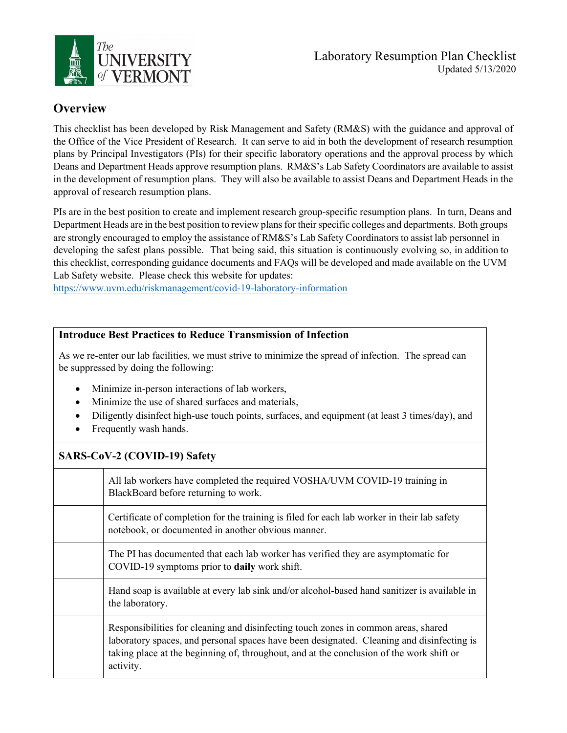

## **Overview**

This checklist has been developed by Risk Management and Safety (RM&S) with the guidance and approval of the Office of the Vice President of Research. It can serve to aid in both the development of research resumption plans by Principal Investigators (PIs) for their specific laboratory operations and the approval process by which Deans and Department Heads approve resumption plans. RM&S's Lab Safety Coordinators are available to assist in the development of resumption plans. They will also be available to assist Deans and Department Heads in the approval of research resumption plans.

PIs are in the best position to create and implement research group-specific resumption plans. In turn, Deans and Department Heads are in the best position to review plans for their specific colleges and departments. Both groups are strongly encouraged to employ the assistance of RM&S's Lab Safety Coordinatorsto assist lab personnel in developing the safest plans possible. That being said, this situation is continuously evolving so, in addition to this checklist, corresponding guidance documents and FAQs will be developed and made available on the UVM Lab Safety website. Please check this website for updates:

https://www.uvm.edu/riskmanagement/covid-19-laboratory-information

## **Introduce Best Practices to Reduce Transmission of Infection**

As we re-enter our lab facilities, we must strive to minimize the spread of infection. The spread can be suppressed by doing the following:

- Minimize in-person interactions of lab workers,
- Minimize the use of shared surfaces and materials,
- Diligently disinfect high-use touch points, surfaces, and equipment (at least 3 times/day), and
- Frequently wash hands.

## **SARS-CoV-2 (COVID-19) Safety**

| All lab workers have completed the required VOSHA/UVM COVID-19 training in<br>BlackBoard before returning to work.                                                                                                                                                                       |
|------------------------------------------------------------------------------------------------------------------------------------------------------------------------------------------------------------------------------------------------------------------------------------------|
| Certificate of completion for the training is filed for each lab worker in their lab safety<br>notebook, or documented in another obvious manner.                                                                                                                                        |
| The PI has documented that each lab worker has verified they are asymptomatic for<br>COVID-19 symptoms prior to daily work shift.                                                                                                                                                        |
| Hand soap is available at every lab sink and/or alcohol-based hand sanitizer is available in<br>the laboratory.                                                                                                                                                                          |
| Responsibilities for cleaning and disinfecting touch zones in common areas, shared<br>laboratory spaces, and personal spaces have been designated. Cleaning and disinfecting is<br>taking place at the beginning of, throughout, and at the conclusion of the work shift or<br>activity. |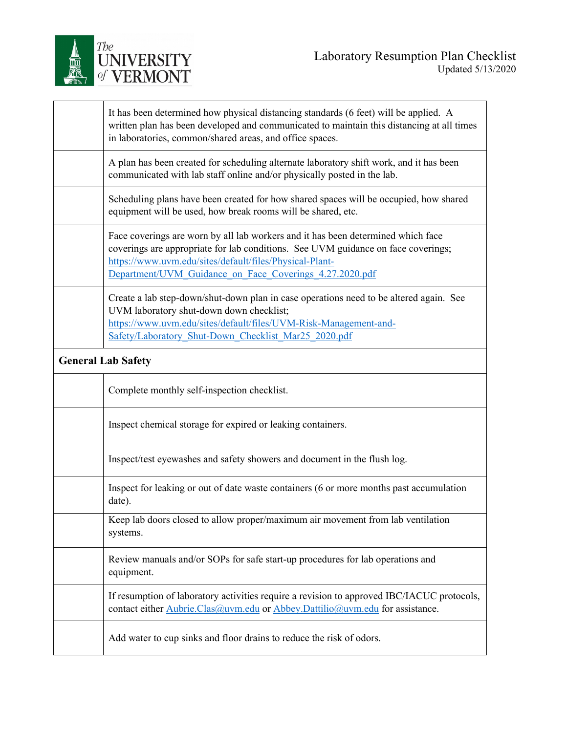

|                           | It has been determined how physical distancing standards (6 feet) will be applied. A<br>written plan has been developed and communicated to maintain this distancing at all times<br>in laboratories, common/shared areas, and office spaces.                                               |
|---------------------------|---------------------------------------------------------------------------------------------------------------------------------------------------------------------------------------------------------------------------------------------------------------------------------------------|
|                           | A plan has been created for scheduling alternate laboratory shift work, and it has been<br>communicated with lab staff online and/or physically posted in the lab.                                                                                                                          |
|                           | Scheduling plans have been created for how shared spaces will be occupied, how shared<br>equipment will be used, how break rooms will be shared, etc.                                                                                                                                       |
|                           | Face coverings are worn by all lab workers and it has been determined which face<br>coverings are appropriate for lab conditions. See UVM guidance on face coverings;<br>https://www.uvm.edu/sites/default/files/Physical-Plant-<br>Department/UVM Guidance on Face Coverings 4.27.2020.pdf |
|                           | Create a lab step-down/shut-down plan in case operations need to be altered again. See<br>UVM laboratory shut-down down checklist;<br>https://www.uvm.edu/sites/default/files/UVM-Risk-Management-and-<br>Safety/Laboratory Shut-Down Checklist Mar25 2020.pdf                              |
| <b>General Lab Safety</b> |                                                                                                                                                                                                                                                                                             |
|                           | Complete monthly self-inspection checklist.                                                                                                                                                                                                                                                 |
|                           | Inspect chemical storage for expired or leaking containers.                                                                                                                                                                                                                                 |
|                           | Inspect/test eyewashes and safety showers and document in the flush log.                                                                                                                                                                                                                    |
|                           | Inspect for leaking or out of date waste containers (6 or more months past accumulation<br>date).                                                                                                                                                                                           |
|                           | Keep lab doors closed to allow proper/maximum air movement from lab ventilation<br>systems.                                                                                                                                                                                                 |
|                           | Review manuals and/or SOPs for safe start-up procedures for lab operations and<br>equipment.                                                                                                                                                                                                |
|                           | If resumption of laboratory activities require a revision to approved IBC/IACUC protocols,<br>contact either Aubrie.Clas@uvm.edu or Abbey.Dattilio@uvm.edu for assistance.                                                                                                                  |
|                           |                                                                                                                                                                                                                                                                                             |